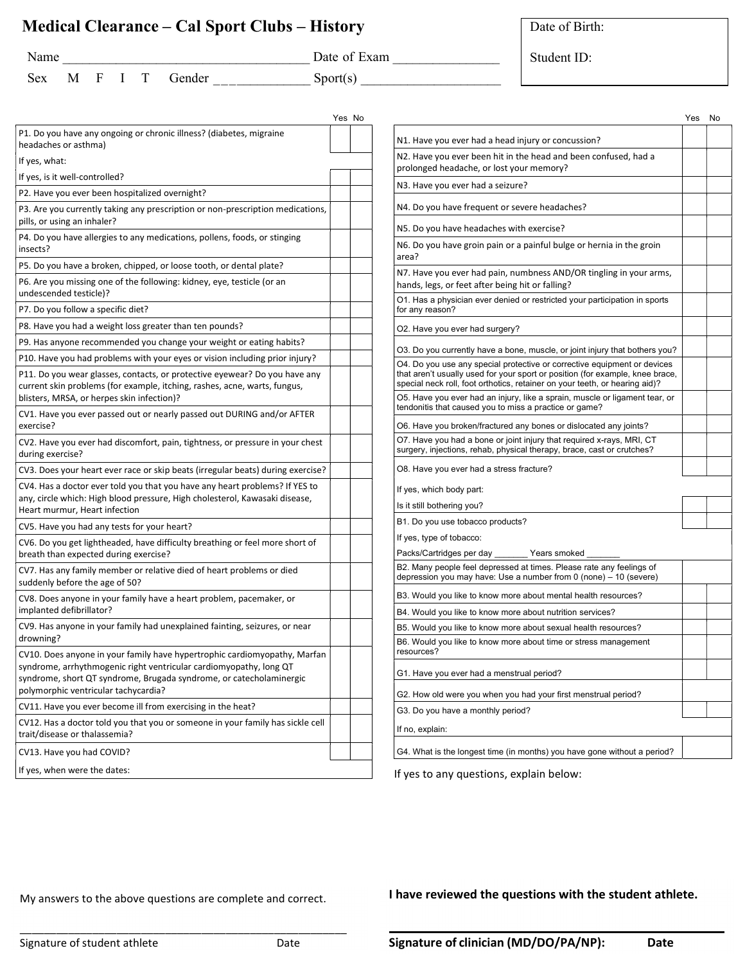## Medical Clearance – Cal Sport Clubs – History

I have reviewed the questions with the student athlete.

|                                                                                                                                                                                                                                                                | Yes No |  |  |  |  |
|----------------------------------------------------------------------------------------------------------------------------------------------------------------------------------------------------------------------------------------------------------------|--------|--|--|--|--|
| P1. Do you have any ongoing or chronic illness? (diabetes, migraine<br>headaches or asthma)                                                                                                                                                                    |        |  |  |  |  |
| If yes, what:                                                                                                                                                                                                                                                  |        |  |  |  |  |
| If yes, is it well-controlled?                                                                                                                                                                                                                                 |        |  |  |  |  |
| P2. Have you ever been hospitalized overnight?                                                                                                                                                                                                                 |        |  |  |  |  |
| P3. Are you currently taking any prescription or non-prescription medications,<br>pills, or using an inhaler?                                                                                                                                                  |        |  |  |  |  |
| P4. Do you have allergies to any medications, pollens, foods, or stinging<br>insects?                                                                                                                                                                          |        |  |  |  |  |
| P5. Do you have a broken, chipped, or loose tooth, or dental plate?                                                                                                                                                                                            |        |  |  |  |  |
| P6. Are you missing one of the following: kidney, eye, testicle (or an<br>undescended testicle)?                                                                                                                                                               |        |  |  |  |  |
| P7. Do you follow a specific diet?                                                                                                                                                                                                                             |        |  |  |  |  |
| P8. Have you had a weight loss greater than ten pounds?                                                                                                                                                                                                        |        |  |  |  |  |
| P9. Has anyone recommended you change your weight or eating habits?                                                                                                                                                                                            |        |  |  |  |  |
| P10. Have you had problems with your eyes or vision including prior injury?                                                                                                                                                                                    |        |  |  |  |  |
| P11. Do you wear glasses, contacts, or protective eyewear? Do you have any<br>current skin problems (for example, itching, rashes, acne, warts, fungus,<br>blisters, MRSA, or herpes skin infection)?                                                          |        |  |  |  |  |
| CV1. Have you ever passed out or nearly passed out DURING and/or AFTER<br>exercise?                                                                                                                                                                            |        |  |  |  |  |
| CV2. Have you ever had discomfort, pain, tightness, or pressure in your chest<br>during exercise?                                                                                                                                                              |        |  |  |  |  |
| CV3. Does your heart ever race or skip beats (irregular beats) during exercise?                                                                                                                                                                                |        |  |  |  |  |
| CV4. Has a doctor ever told you that you have any heart problems? If YES to<br>any, circle which: High blood pressure, High cholesterol, Kawasaki disease,<br>Heart murmur, Heart infection                                                                    |        |  |  |  |  |
| CV5. Have you had any tests for your heart?                                                                                                                                                                                                                    |        |  |  |  |  |
| CV6. Do you get lightheaded, have difficulty breathing or feel more short of<br>breath than expected during exercise?                                                                                                                                          |        |  |  |  |  |
| CV7. Has any family member or relative died of heart problems or died<br>suddenly before the age of 50?                                                                                                                                                        |        |  |  |  |  |
| CV8. Does anyone in your family have a heart problem, pacemaker, or<br>implanted defibrillator?                                                                                                                                                                |        |  |  |  |  |
| CV9. Has anyone in your family had unexplained fainting, seizures, or near<br>drowning?                                                                                                                                                                        |        |  |  |  |  |
| CV10. Does anyone in your family have hypertrophic cardiomyopathy, Marfan<br>syndrome, arrhythmogenic right ventricular cardiomyopathy, long QT<br>syndrome, short QT syndrome, Brugada syndrome, or catecholaminergic<br>polymorphic ventricular tachycardia? |        |  |  |  |  |
| CV11. Have you ever become ill from exercising in the heat?                                                                                                                                                                                                    |        |  |  |  |  |
| CV12. Has a doctor told you that you or someone in your family has sickle cell<br>trait/disease or thalassemia?                                                                                                                                                |        |  |  |  |  |
| CV13. Have you had COVID?                                                                                                                                                                                                                                      |        |  |  |  |  |
| If yes, when were the dates:                                                                                                                                                                                                                                   |        |  |  |  |  |
|                                                                                                                                                                                                                                                                |        |  |  |  |  |

|                                                                                                                                                                                                                                          | Yes | No |  |  |  |  |
|------------------------------------------------------------------------------------------------------------------------------------------------------------------------------------------------------------------------------------------|-----|----|--|--|--|--|
| N1. Have you ever had a head injury or concussion?                                                                                                                                                                                       |     |    |  |  |  |  |
| N2. Have you ever been hit in the head and been confused, had a<br>prolonged headache, or lost your memory?                                                                                                                              |     |    |  |  |  |  |
| N3. Have you ever had a seizure?                                                                                                                                                                                                         |     |    |  |  |  |  |
| N4. Do you have frequent or severe headaches?                                                                                                                                                                                            |     |    |  |  |  |  |
| N5. Do you have headaches with exercise?                                                                                                                                                                                                 |     |    |  |  |  |  |
| N6. Do you have groin pain or a painful bulge or hernia in the groin<br>area?                                                                                                                                                            |     |    |  |  |  |  |
| N7. Have you ever had pain, numbness AND/OR tingling in your arms,<br>hands, legs, or feet after being hit or falling?                                                                                                                   |     |    |  |  |  |  |
| O1. Has a physician ever denied or restricted your participation in sports<br>for any reason?                                                                                                                                            |     |    |  |  |  |  |
| O2. Have you ever had surgery?                                                                                                                                                                                                           |     |    |  |  |  |  |
| O3. Do you currently have a bone, muscle, or joint injury that bothers you?                                                                                                                                                              |     |    |  |  |  |  |
| O4. Do you use any special protective or corrective equipment or devices<br>that aren't usually used for your sport or position (for example, knee brace,<br>special neck roll, foot orthotics, retainer on your teeth, or hearing aid)? |     |    |  |  |  |  |
| O5. Have you ever had an injury, like a sprain, muscle or ligament tear, or<br>tendonitis that caused you to miss a practice or game?                                                                                                    |     |    |  |  |  |  |
| O6. Have you broken/fractured any bones or dislocated any joints?                                                                                                                                                                        |     |    |  |  |  |  |
| O7. Have you had a bone or joint injury that required x-rays, MRI, CT<br>surgery, injections, rehab, physical therapy, brace, cast or crutches?                                                                                          |     |    |  |  |  |  |
| O8. Have you ever had a stress fracture?                                                                                                                                                                                                 |     |    |  |  |  |  |
| If yes, which body part:                                                                                                                                                                                                                 |     |    |  |  |  |  |
| Is it still bothering you?                                                                                                                                                                                                               |     |    |  |  |  |  |
| B1. Do you use tobacco products?                                                                                                                                                                                                         |     |    |  |  |  |  |
| If yes, type of tobacco:                                                                                                                                                                                                                 |     |    |  |  |  |  |
| Years smoked<br>Packs/Cartridges per day                                                                                                                                                                                                 |     |    |  |  |  |  |
| B2. Many people feel depressed at times. Please rate any feelings of<br>depression you may have: Use a number from $0$ (none) $-10$ (severe)                                                                                             |     |    |  |  |  |  |
| B3. Would you like to know more about mental health resources?                                                                                                                                                                           |     |    |  |  |  |  |
| B4. Would you like to know more about nutrition services?                                                                                                                                                                                |     |    |  |  |  |  |
| B5. Would you like to know more about sexual health resources?                                                                                                                                                                           |     |    |  |  |  |  |
| B6. Would you like to know more about time or stress management<br>resources?                                                                                                                                                            |     |    |  |  |  |  |
| G1. Have you ever had a menstrual period?                                                                                                                                                                                                |     |    |  |  |  |  |
| G2. How old were you when you had your first menstrual period?                                                                                                                                                                           |     |    |  |  |  |  |
| G3. Do you have a monthly period?                                                                                                                                                                                                        |     |    |  |  |  |  |
| If no, explain:                                                                                                                                                                                                                          |     |    |  |  |  |  |
| G4. What is the longest time (in months) you have gone without a period?                                                                                                                                                                 |     |    |  |  |  |  |

If yes to any questions, explain below:

Student ID:

| Name |   |    |   |        | 'at |
|------|---|----|---|--------|-----|
| Sex  | M | -F | T | Gender | ١DO |

 $e \text{ of } Exam$  $\text{rrt}(s)$